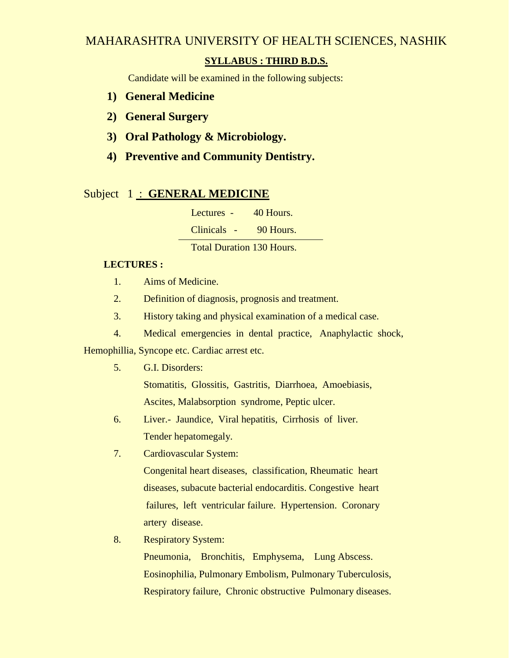# MAHARASHTRA UNIVERSITY OF HEALTH SCIENCES, NASHIK

# **SYLLABUS : THIRD B.D.S.**

Candidate will be examined in the following subjects:

- **1) General Medicine**
- **2) General Surgery**
- **3) Oral Pathology & Microbiology.**
- **4) Preventive and Community Dentistry.**

# Subject 1 : **GENERAL MEDICINE**

Lectures - 40 Hours.

Clinicals - 90 Hours.

Total Duration 130 Hours.

## **LECTURES :**

- 1. Aims of Medicine.
- 2. Definition of diagnosis, prognosis and treatment.
- 3. History taking and physical examination of a medical case.
- 4. Medical emergencies in dental practice, Anaphylactic shock,

Hemophillia, Syncope etc. Cardiac arrest etc.

5. G.I. Disorders:

 Stomatitis, Glossitis, Gastritis, Diarrhoea, Amoebiasis, Ascites, Malabsorption syndrome, Peptic ulcer.

- 6. Liver.- Jaundice, Viral hepatitis, Cirrhosis of liver. Tender hepatomegaly.
- 7. Cardiovascular System:

 Congenital heart diseases, classification, Rheumatic heart diseases, subacute bacterial endocarditis. Congestive heart failures, left ventricular failure. Hypertension. Coronary artery disease.

8. Respiratory System:

 Pneumonia, Bronchitis, Emphysema, Lung Abscess. Eosinophilia, Pulmonary Embolism, Pulmonary Tuberculosis, Respiratory failure, Chronic obstructive Pulmonary diseases.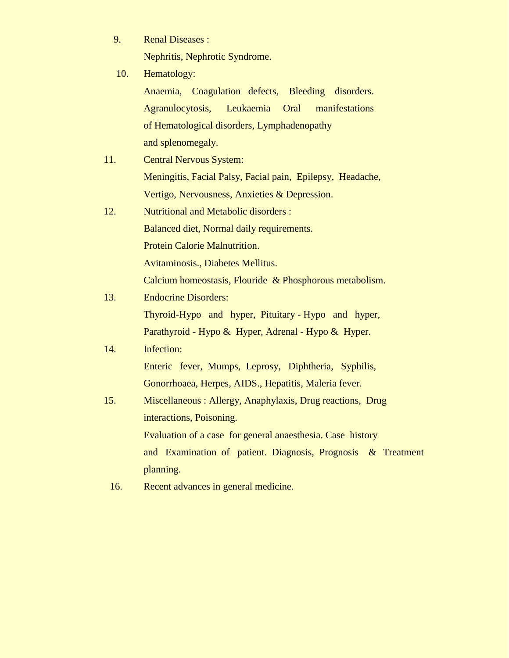9. Renal Diseases :

Nephritis, Nephrotic Syndrome.

10. Hematology:

 Anaemia, Coagulation defects, Bleeding disorders. Agranulocytosis, Leukaemia Oral manifestations of Hematological disorders, Lymphadenopathy and splenomegaly.

- 11. Central Nervous System: Meningitis, Facial Palsy, Facial pain, Epilepsy, Headache, Vertigo, Nervousness, Anxieties & Depression.
- 12. Nutritional and Metabolic disorders : Balanced diet, Normal daily requirements. Protein Calorie Malnutrition. Avitaminosis., Diabetes Mellitus.
	- Calcium homeostasis, Flouride & Phosphorous metabolism.
- 13. Endocrine Disorders: Thyroid-Hypo and hyper, Pituitary - Hypo and hyper, Parathyroid - Hypo & Hyper, Adrenal - Hypo & Hyper.

# 14. Infection:

 Enteric fever, Mumps, Leprosy, Diphtheria, Syphilis, Gonorrhoaea, Herpes, AIDS., Hepatitis, Maleria fever.

- 15. Miscellaneous : Allergy, Anaphylaxis, Drug reactions, Drug interactions, Poisoning. Evaluation of a case for general anaesthesia. Case history and Examination of patient. Diagnosis, Prognosis & Treatment planning.
	- 16. Recent advances in general medicine.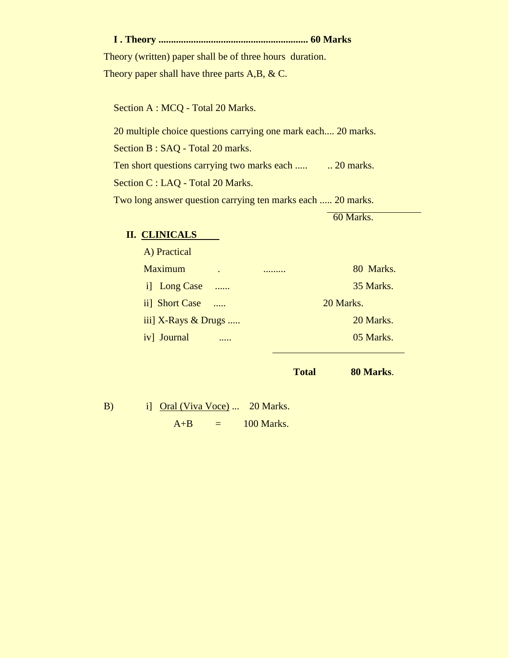**I . Theory ............................................................ 60 Marks**

 Theory (written) paper shall be of three hours duration. Theory paper shall have three parts A,B, & C.

Section A : MCQ - Total 20 Marks.

20 multiple choice questions carrying one mark each.... 20 marks.

Section B : SAQ - Total 20 marks.

Ten short questions carrying two marks each ..... ... 20 marks.

Section C : LAQ - Total 20 Marks.

Two long answer question carrying ten marks each ..... 20 marks.

60 Marks.

# **II. CLINICALS**

| A) Practical                 |           |           |
|------------------------------|-----------|-----------|
| <b>Maximum</b>               | $\bullet$ | 80 Marks. |
| i] Long Case                 | $\ldots$  | 35 Marks. |
| ii] Short Case               | $\cdots$  | 20 Marks. |
| iii] $X-Rays \& Drugs \dots$ |           | 20 Marks. |
| iv] Journal                  |           | 05 Marks. |
|                              |           |           |

**Total 80 Marks**.

B) i] Oral (Viva Voce) ... 20 Marks.  $A+B$  = 100 Marks.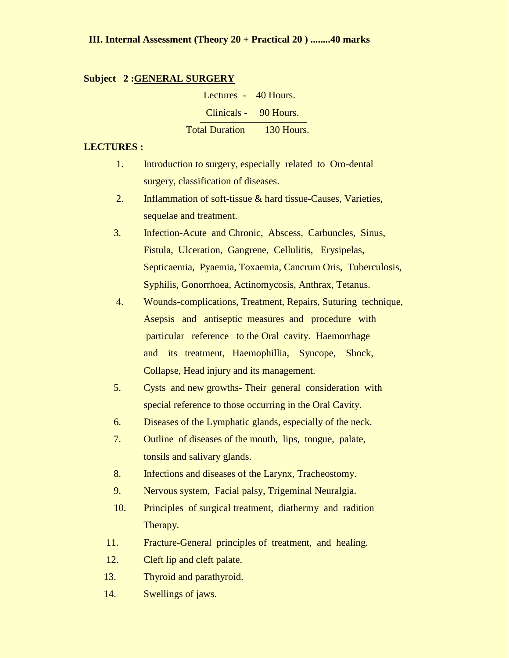#### **Subject 2 :GENERAL SURGERY**

 Lectures - 40 Hours. Clinicals - 90 Hours. Total Duration 130 Hours.

# **LECTURES :**

- 1. Introduction to surgery, especially related to Oro-dental surgery, classification of diseases.
- 2. Inflammation of soft-tissue & hard tissue-Causes, Varieties, sequelae and treatment.
- 3. Infection-Acute and Chronic, Abscess, Carbuncles, Sinus, Fistula, Ulceration, Gangrene, Cellulitis, Erysipelas, Septicaemia, Pyaemia, Toxaemia, Cancrum Oris, Tuberculosis, Syphilis, Gonorrhoea, Actinomycosis, Anthrax, Tetanus.
- 4. Wounds-complications, Treatment, Repairs, Suturing technique, Asepsis and antiseptic measures and procedure with particular reference to the Oral cavity. Haemorrhage and its treatment, Haemophillia, Syncope, Shock, Collapse, Head injury and its management.
- 5. Cysts and new growths- Their general consideration with special reference to those occurring in the Oral Cavity.
- 6. Diseases of the Lymphatic glands, especially of the neck.
- 7. Outline of diseases of the mouth, lips, tongue, palate, tonsils and salivary glands.
- 8. Infections and diseases of the Larynx, Tracheostomy.
- 9. Nervous system, Facial palsy, Trigeminal Neuralgia.
- 10. Principles of surgical treatment, diathermy and radition Therapy.
- 11. Fracture-General principles of treatment, and healing.
- 12. Cleft lip and cleft palate.
- 13. Thyroid and parathyroid.
- 14. Swellings of jaws.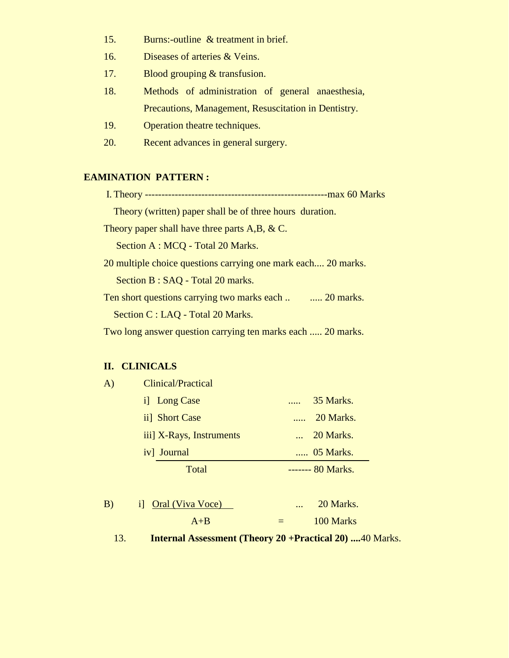- 15. Burns:-outline & treatment in brief.
- 16. Diseases of arteries & Veins.
- 17. Blood grouping & transfusion.
- 18. Methods of administration of general anaesthesia, Precautions, Management, Resuscitation in Dentistry.
- 19. Operation theatre techniques.
- 20. Recent advances in general surgery.

#### **EAMINATION PATTERN :**

 I. Theory -------------------------------------------------------max 60 Marks Theory (written) paper shall be of three hours duration. Theory paper shall have three parts A,B, & C. Section A : MCQ - Total 20 Marks. 20 multiple choice questions carrying one mark each.... 20 marks. Section B : SAQ - Total 20 marks. Ten short questions carrying two marks each .. ..... 20 marks. Section C : LAQ - Total 20 Marks.

Two long answer question carrying ten marks each ..... 20 marks.

## **II. CLINICALS**

| <b>Clinical/Practical</b> |                    |
|---------------------------|--------------------|
| i Long Case               | 35 Marks.          |
| ii] Short Case            | 20 Marks.          |
| iii] X-Rays, Instruments  | $\ldots$ 20 Marks. |
| iv] Journal               | 05 Marks.          |
| Total                     | ------- 80 Marks.  |
|                           |                    |

| B) | <i>i</i> Oral (Viva Voce) | $\cdots$ | 20 Marks. |
|----|---------------------------|----------|-----------|
|    | $A + B$                   |          | 100 Marks |

13. **Internal Assessment (Theory 20 +Practical 20) ....**40 Marks.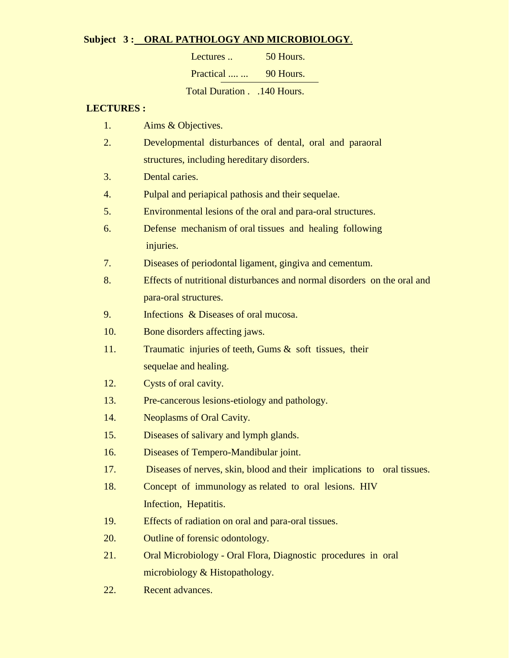# **Subject 3 : ORAL PATHOLOGY AND MICROBIOLOGY**.

| Lectures                 | 50 Hours. |
|--------------------------|-----------|
| Practical                | 90 Hours. |
| Total Duration140 Hours. |           |

## **LECTURES :**

- 1. Aims & Objectives.
- 2. Developmental disturbances of dental, oral and paraoral structures, including hereditary disorders.
- 3. Dental caries.
- 4. Pulpal and periapical pathosis and their sequelae.
- 5. Environmental lesions of the oral and para-oral structures.
- 6. Defense mechanism of oral tissues and healing following injuries.
- 7. Diseases of periodontal ligament, gingiva and cementum.
- 8. Effects of nutritional disturbances and normal disorders on the oral and para-oral structures.
- 9. Infections & Diseases of oral mucosa.
- 10. Bone disorders affecting jaws.
- 11. Traumatic injuries of teeth, Gums & soft tissues, their sequelae and healing.
- 12. Cysts of oral cavity.
- 13. Pre-cancerous lesions-etiology and pathology.
- 14. Neoplasms of Oral Cavity.
- 15. Diseases of salivary and lymph glands.
- 16. Diseases of Tempero-Mandibular joint.
- 17. Diseases of nerves, skin, blood and their implications to oral tissues.
- 18. Concept of immunology as related to oral lesions. HIV Infection, Hepatitis.
- 19. Effects of radiation on oral and para-oral tissues.
- 20. Outline of forensic odontology.
- 21. Oral Microbiology Oral Flora, Diagnostic procedures in oral microbiology & Histopathology.
- 22. Recent advances.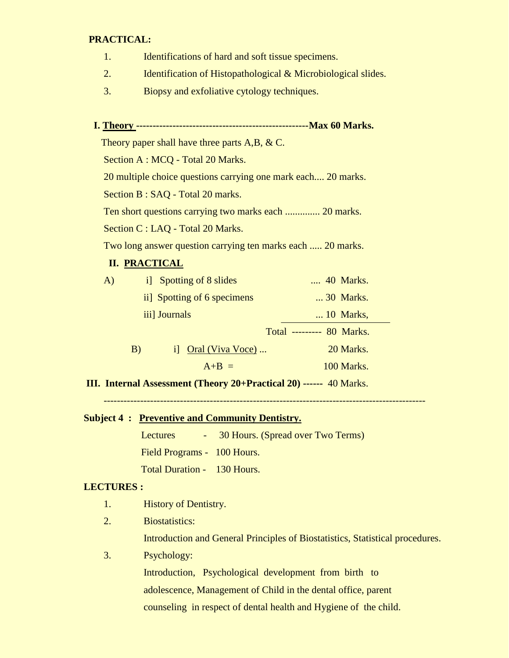# **PRACTICAL:**

- 1. Identifications of hard and soft tissue specimens.
- 2. Identification of Histopathological & Microbiological slides.
- 3. Biopsy and exfoliative cytology techniques.

# **I. Theory ----------------------------------------------------Max 60 Marks.**

Theory paper shall have three parts A,B, & C.

Section A : MCQ - Total 20 Marks.

20 multiple choice questions carrying one mark each.... 20 marks.

Section B : SAQ - Total 20 marks.

Ten short questions carrying two marks each .............. 20 marks.

Section C : LAQ - Total 20 Marks.

Two long answer question carrying ten marks each ..... 20 marks.

# **II. PRACTICAL**

| A) |    | i] Spotting of 8 slides     | 40 Marks.                 |
|----|----|-----------------------------|---------------------------|
|    |    | ii] Spotting of 6 specimens | 30 Marks.                 |
|    |    | iii] Journals               | $\ldots$ 10 Marks,        |
|    |    |                             | Total --------- 80 Marks. |
|    | B) | i] Oral (Viva Voce)         | 20 Marks.                 |
|    |    | $A+B =$                     | 100 Marks.                |

**III. Internal Assessment (Theory 20+Practical 20) ------** 40 Marks.

## **Subject 4 : Preventive and Community Dentistry.**

Lectures - 30 Hours. (Spread over Two Terms) Field Programs - 100 Hours.

Total Duration - 130 Hours.

# **LECTURES :**

- 1. History of Dentistry.
- 2. Biostatistics:

Introduction and General Principles of Biostatistics, Statistical procedures.

## 3. Psychology:

 Introduction, Psychological development from birth to adolescence, Management of Child in the dental office, parent counseling in respect of dental health and Hygiene of the child.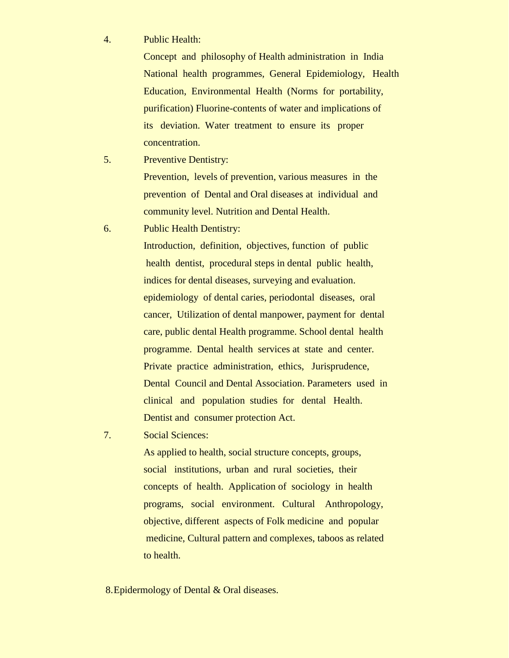4. Public Health:

 Concept and philosophy of Health administration in India National health programmes, General Epidemiology, Health Education, Environmental Health (Norms for portability, purification) Fluorine-contents of water and implications of its deviation. Water treatment to ensure its proper concentration.

- 5. Preventive Dentistry: Prevention, levels of prevention, various measures in the prevention of Dental and Oral diseases at individual and community level. Nutrition and Dental Health.
- 6. Public Health Dentistry:

 Introduction, definition, objectives, function of public health dentist, procedural steps in dental public health, indices for dental diseases, surveying and evaluation. epidemiology of dental caries, periodontal diseases, oral cancer, Utilization of dental manpower, payment for dental care, public dental Health programme. School dental health programme. Dental health services at state and center. Private practice administration, ethics, Jurisprudence, Dental Council and Dental Association. Parameters used in clinical and population studies for dental Health. Dentist and consumer protection Act.

7. Social Sciences:

 As applied to health, social structure concepts, groups, social institutions, urban and rural societies, their concepts of health. Application of sociology in health programs, social environment. Cultural Anthropology, objective, different aspects of Folk medicine and popular medicine, Cultural pattern and complexes, taboos as related to health.

8.Epidermology of Dental & Oral diseases.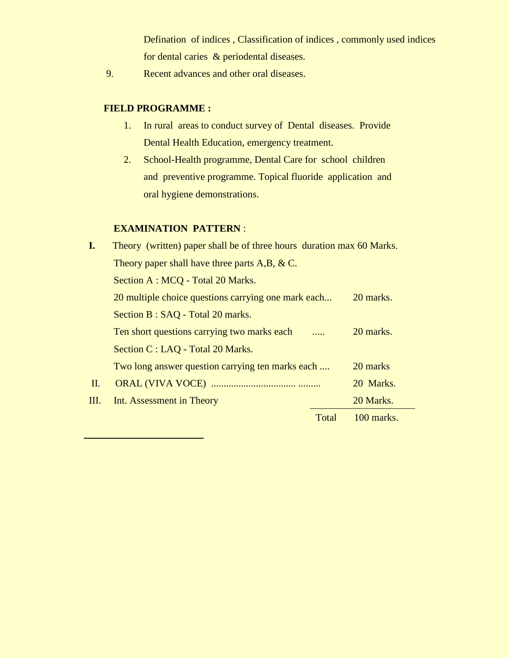Defination of indices , Classification of indices , commonly used indices for dental caries & periodental diseases.

9. Recent advances and other oral diseases.

# **FIELD PROGRAMME :**

- 1. In rural areas to conduct survey of Dental diseases. Provide Dental Health Education, emergency treatment.
- 2. School-Health programme, Dental Care for school children and preventive programme. Topical fluoride application and oral hygiene demonstrations.

# **EXAMINATION PATTERN** :

| I.  | Theory (written) paper shall be of three hours duration max 60 Marks. |       |              |  |
|-----|-----------------------------------------------------------------------|-------|--------------|--|
|     | Theory paper shall have three parts $A, B, \& C$ .                    |       |              |  |
|     | Section A : MCQ - Total 20 Marks.                                     |       |              |  |
|     | 20 multiple choice questions carrying one mark each                   |       | 20 marks.    |  |
|     | Section B : SAQ - Total 20 marks.                                     |       |              |  |
|     | Ten short questions carrying two marks each                           |       | 20 marks.    |  |
|     | Section C : LAQ - Total 20 Marks.                                     |       |              |  |
|     | Two long answer question carrying ten marks each                      |       | 20 marks     |  |
| II. |                                                                       |       | 20 Marks.    |  |
| Ш.  | Int. Assessment in Theory                                             |       | 20 Marks.    |  |
|     |                                                                       | Total | $100$ marks. |  |
|     |                                                                       |       |              |  |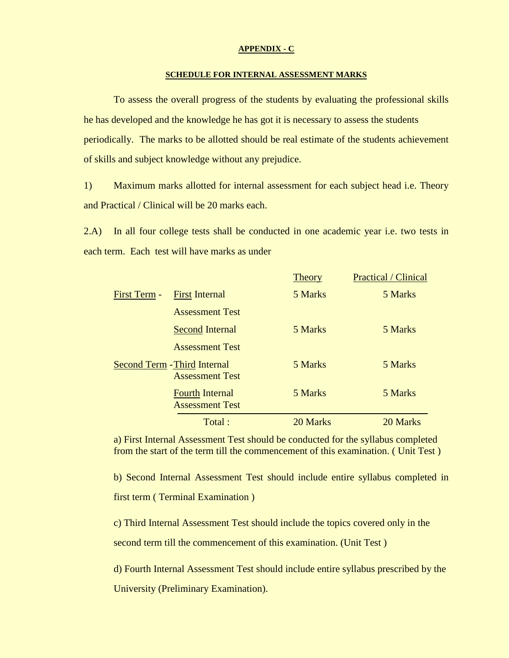#### **APPENDIX - C**

#### **SCHEDULE FOR INTERNAL ASSESSMENT MARKS**

To assess the overall progress of the students by evaluating the professional skills he has developed and the knowledge he has got it is necessary to assess the students periodically. The marks to be allotted should be real estimate of the students achievement of skills and subject knowledge without any prejudice.

1) Maximum marks allotted for internal assessment for each subject head i.e. Theory and Practical / Clinical will be 20 marks each.

2.A) In all four college tests shall be conducted in one academic year i.e. two tests in each term. Each test will have marks as under

|              |                                                               | <b>Theory</b> | <b>Practical</b> / Clinical |
|--------------|---------------------------------------------------------------|---------------|-----------------------------|
| First Term - | <b>First Internal</b>                                         | 5 Marks       | 5 Marks                     |
|              | <b>Assessment Test</b>                                        |               |                             |
|              | <b>Second Internal</b>                                        | 5 Marks       | 5 Marks                     |
|              | <b>Assessment Test</b>                                        |               |                             |
|              | <b>Second Term - Third Internal</b><br><b>Assessment Test</b> | 5 Marks       | 5 Marks                     |
|              | <b>Fourth Internal</b><br><b>Assessment Test</b>              | 5 Marks       | 5 Marks                     |
|              | Total:                                                        | 20 Marks      | 20 Marks                    |

a) First Internal Assessment Test should be conducted for the syllabus completed from the start of the term till the commencement of this examination. ( Unit Test )

b) Second Internal Assessment Test should include entire syllabus completed in first term ( Terminal Examination )

c) Third Internal Assessment Test should include the topics covered only in the second term till the commencement of this examination. (Unit Test )

d) Fourth Internal Assessment Test should include entire syllabus prescribed by the University (Preliminary Examination).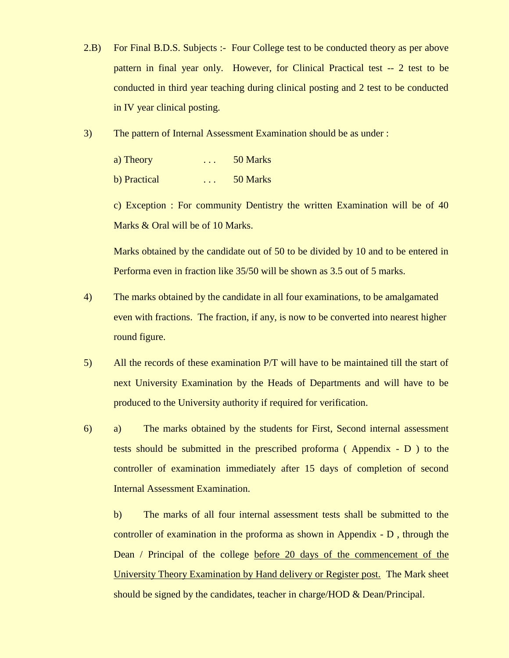- 2.B) For Final B.D.S. Subjects :- Four College test to be conducted theory as per above pattern in final year only. However, for Clinical Practical test -- 2 test to be conducted in third year teaching during clinical posting and 2 test to be conducted in IV year clinical posting.
- 3) The pattern of Internal Assessment Examination should be as under :

| a) Theory    | $\cdot$ $\cdot$ $\cdot$ | 50 Marks |
|--------------|-------------------------|----------|
| b) Practical | $\cdot$ $\cdot$ $\cdot$ | 50 Marks |

c) Exception : For community Dentistry the written Examination will be of 40 Marks & Oral will be of 10 Marks.

Marks obtained by the candidate out of 50 to be divided by 10 and to be entered in Performa even in fraction like 35/50 will be shown as 3.5 out of 5 marks.

- 4) The marks obtained by the candidate in all four examinations, to be amalgamated even with fractions. The fraction, if any, is now to be converted into nearest higher round figure.
- 5) All the records of these examination P/T will have to be maintained till the start of next University Examination by the Heads of Departments and will have to be produced to the University authority if required for verification.
- 6) a) The marks obtained by the students for First, Second internal assessment tests should be submitted in the prescribed proforma ( Appendix - D ) to the controller of examination immediately after 15 days of completion of second Internal Assessment Examination.

b) The marks of all four internal assessment tests shall be submitted to the controller of examination in the proforma as shown in Appendix - D , through the Dean / Principal of the college before 20 days of the commencement of the University Theory Examination by Hand delivery or Register post. The Mark sheet should be signed by the candidates, teacher in charge/HOD & Dean/Principal.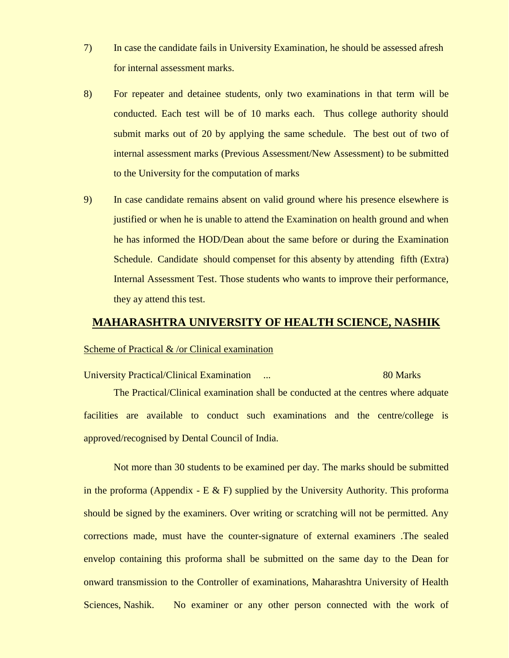- 7) In case the candidate fails in University Examination, he should be assessed afresh for internal assessment marks.
- 8) For repeater and detainee students, only two examinations in that term will be conducted. Each test will be of 10 marks each. Thus college authority should submit marks out of 20 by applying the same schedule. The best out of two of internal assessment marks (Previous Assessment/New Assessment) to be submitted to the University for the computation of marks
- 9) In case candidate remains absent on valid ground where his presence elsewhere is justified or when he is unable to attend the Examination on health ground and when he has informed the HOD/Dean about the same before or during the Examination Schedule. Candidate should compenset for this absenty by attending fifth (Extra) Internal Assessment Test. Those students who wants to improve their performance, they ay attend this test.

# **MAHARASHTRA UNIVERSITY OF HEALTH SCIENCE, NASHIK**

#### Scheme of Practical & /or Clinical examination

University Practical/Clinical Examination ... 80 Marks

The Practical/Clinical examination shall be conducted at the centres where adquate facilities are available to conduct such examinations and the centre/college is approved/recognised by Dental Council of India.

Not more than 30 students to be examined per day. The marks should be submitted in the proforma (Appendix - E  $\&$  F) supplied by the University Authority. This proforma should be signed by the examiners. Over writing or scratching will not be permitted. Any corrections made, must have the counter-signature of external examiners .The sealed envelop containing this proforma shall be submitted on the same day to the Dean for onward transmission to the Controller of examinations, Maharashtra University of Health Sciences, Nashik. No examiner or any other person connected with the work of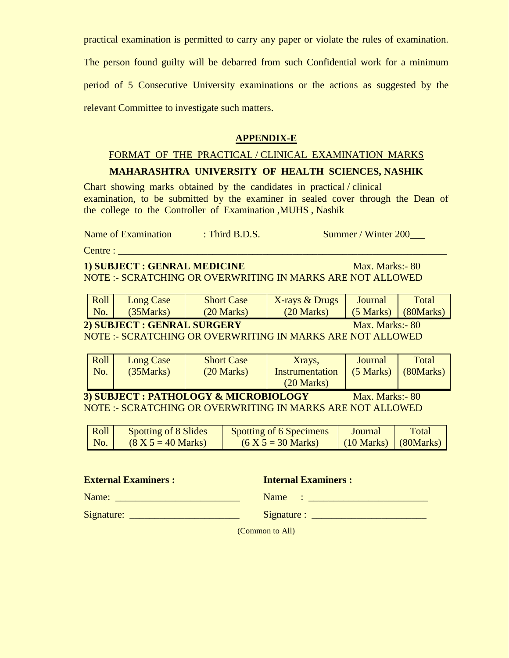practical examination is permitted to carry any paper or violate the rules of examination.

The person found guilty will be debarred from such Confidential work for a minimum period of 5 Consecutive University examinations or the actions as suggested by the relevant Committee to investigate such matters.

# **APPENDIX-E**

## FORMAT OF THE PRACTICAL / CLINICAL EXAMINATION MARKS

# **MAHARASHTRA UNIVERSITY OF HEALTH SCIENCES, NASHIK**

Chart showing marks obtained by the candidates in practical / clinical examination, to be submitted by the examiner in sealed cover through the Dean of the college to the Controller of Examination ,MUHS , Nashik

Name of Examination : Third B.D.S. Summer / Winter 200

Centre : \_\_\_\_\_\_\_\_\_\_\_\_\_\_\_\_\_\_\_\_\_\_\_\_\_\_\_\_\_\_\_\_\_\_\_\_\_\_\_\_\_\_\_\_\_\_\_\_\_\_\_\_\_\_\_\_\_\_\_\_\_\_\_\_\_\_

# **1) SUBJECT : GENRAL MEDICINE** Max. Marks: - 80 NOTE :- SCRATCHING OR OVERWRITING IN MARKS ARE NOT ALLOWED

| Roll | <b>Long Case</b> | <b>Short Case</b> | X-rays & Drugs | Journal             | <b>Total</b> |
|------|------------------|-------------------|----------------|---------------------|--------------|
| No.  | (35Marks)        | $(20$ Marks)      | $(20$ Marks)   | $(5 \text{ Marks})$ | (80Marks)    |

#### **2) SUBJECT : GENRAL SURGERY** Max. Marks: - 80

NOTE :- SCRATCHING OR OVERWRITING IN MARKS ARE NOT ALLOWED

|                                                           | Roll<br>No.                                                      | Long Case<br>(35 Marks) | <b>Short Case</b><br>$(20$ Marks) | Xrays,<br><b>Instrumentation</b><br>$(20$ Marks) | <b>Journal</b><br>$(5$ Marks) | Total<br>(80Marks) |
|-----------------------------------------------------------|------------------------------------------------------------------|-------------------------|-----------------------------------|--------------------------------------------------|-------------------------------|--------------------|
| 3) SUBJECT : PATHOLOGY & MICROBIOLOGY<br>Max. Marks: - 80 |                                                                  |                         |                                   |                                                  |                               |                    |
|                                                           | <b>NOTE:- SCRATCHING OR OVERWRITING IN MARKS ARE NOT ALLOWED</b> |                         |                                   |                                                  |                               |                    |

| Roll | Spotting of 8 Slides | <b>Spotting of 6 Specimens</b> | Journal              | Total                 |
|------|----------------------|--------------------------------|----------------------|-----------------------|
| No.  | $(8 X 5 = 40 Marks)$ | $(6 X 5 = 30 Marks)$           | $(10 \text{ Marks})$ | $\log(80)$ (80 Marks) |

**External Examiners :** Internal Examiners :

Name: \_\_\_\_\_\_\_\_\_\_\_\_\_\_\_\_\_\_\_\_\_\_\_\_\_ Name : \_\_\_\_\_\_\_\_\_\_\_\_\_\_\_\_\_\_\_\_\_\_\_\_  $Signature:$   $Signature:$   $Signature:$   $Signature:$   $Signature:$   $Signature:$   $Signature:$   $Signature:$   $Signature:$   $Signature:$   $Signature:$   $Signature:$   $Signature:$   $Signature:$   $Signature:$   $Signature:$   $Signature:$   $Signature:$   $Signature:$   $Signature:$   $Signature:$   $Signature:$   $Signature:$   $Signature:$   $Signature:$   $Signature:$   $Signature:$   $Signature:$   $Signature:$   $Signature:$   $Signature:$   $Signature:$ 

(Common to All)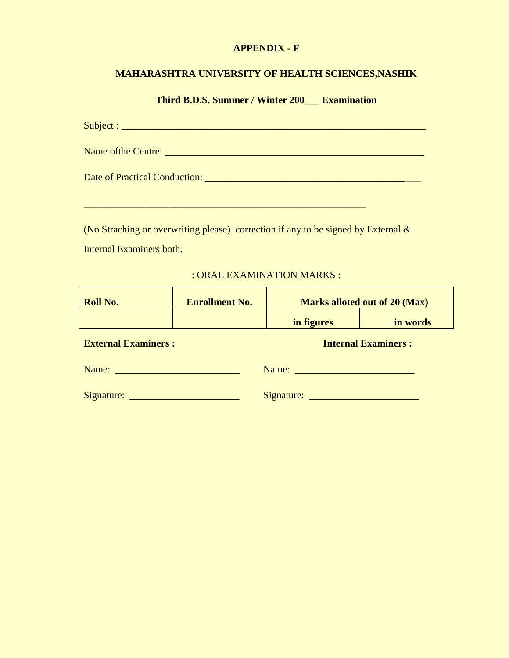## **APPENDIX - F**

# **MAHARASHTRA UNIVERSITY OF HEALTH SCIENCES,NASHIK**

**Third B.D.S. Summer / Winter 200\_\_\_ Examination**

| Date of Practical Conduction: |
|-------------------------------|

(No Straching or overwriting please) correction if any to be signed by External & Internal Examiners both.

\_\_\_\_\_\_\_\_\_\_\_\_\_\_\_\_\_\_\_\_\_\_\_\_\_\_\_\_\_\_\_\_\_\_\_\_\_\_\_\_\_\_\_\_\_\_\_\_\_\_\_\_\_\_\_\_\_\_\_\_\_\_\_\_\_\_\_\_

: ORAL EXAMINATION MARKS :

| <b>Roll No.</b>            | <b>Enrollment No.</b> | <b>Marks alloted out of 20 (Max)</b> |          |  |  |  |
|----------------------------|-----------------------|--------------------------------------|----------|--|--|--|
|                            |                       | in figures                           | in words |  |  |  |
| <b>External Examiners:</b> |                       | <b>Internal Examiners:</b>           |          |  |  |  |
|                            |                       | Name: Name                           |          |  |  |  |
|                            |                       |                                      |          |  |  |  |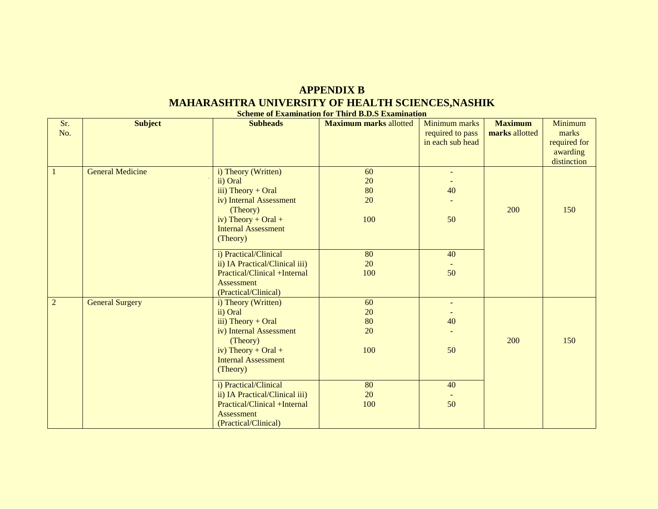# **APPENDIX B MAHARASHTRA UNIVERSITY OF HEALTH SCIENCES,NASHIK**

| <b>Scheme of Examination for Third B.D.S Examination</b> |                         |                                     |                               |                  |                |              |  |  |  |
|----------------------------------------------------------|-------------------------|-------------------------------------|-------------------------------|------------------|----------------|--------------|--|--|--|
| Sr.                                                      | <b>Subject</b>          | <b>Subheads</b>                     | <b>Maximum marks allotted</b> | Minimum marks    | <b>Maximum</b> | Minimum      |  |  |  |
| No.                                                      |                         |                                     |                               | required to pass | marks allotted | marks        |  |  |  |
|                                                          |                         |                                     |                               | in each sub head |                | required for |  |  |  |
|                                                          |                         |                                     |                               |                  |                | awarding     |  |  |  |
|                                                          |                         |                                     |                               |                  |                | distinction  |  |  |  |
| $\overline{1}$                                           | <b>General Medicine</b> | i) Theory (Written)                 | 60                            | $\omega$         |                |              |  |  |  |
|                                                          |                         | ii) Oral                            | 20                            |                  |                |              |  |  |  |
|                                                          |                         | iii) Theory + Oral                  | 80                            | 40               |                |              |  |  |  |
|                                                          |                         | iv) Internal Assessment             | 20                            |                  |                |              |  |  |  |
|                                                          |                         | (Theory)                            |                               |                  | 200            | 150          |  |  |  |
|                                                          |                         | iv) Theory + Oral +                 | 100                           | 50               |                |              |  |  |  |
|                                                          |                         | <b>Internal Assessment</b>          |                               |                  |                |              |  |  |  |
|                                                          |                         | (Theory)                            |                               |                  |                |              |  |  |  |
|                                                          |                         |                                     |                               |                  |                |              |  |  |  |
|                                                          |                         | i) Practical/Clinical               | 80                            | 40               |                |              |  |  |  |
|                                                          |                         | ii) IA Practical/Clinical iii)      | 20                            |                  |                |              |  |  |  |
|                                                          |                         | Practical/Clinical +Internal        | 100                           | 50               |                |              |  |  |  |
|                                                          |                         | <b>Assessment</b>                   |                               |                  |                |              |  |  |  |
|                                                          |                         | (Practical/Clinical)                |                               |                  |                |              |  |  |  |
| $\overline{2}$                                           | <b>General Surgery</b>  | i) Theory (Written)                 | 60                            |                  |                |              |  |  |  |
|                                                          |                         | ii) Oral                            | 20                            |                  |                |              |  |  |  |
|                                                          |                         | iii) Theory + Oral                  | 80                            | 40               |                |              |  |  |  |
|                                                          |                         | iv) Internal Assessment             | 20                            |                  |                |              |  |  |  |
|                                                          |                         | (Theory)                            |                               |                  | 200            | 150          |  |  |  |
|                                                          |                         | iv) Theory + Oral +                 | 100                           | 50               |                |              |  |  |  |
|                                                          |                         | <b>Internal Assessment</b>          |                               |                  |                |              |  |  |  |
|                                                          |                         | (Theory)                            |                               |                  |                |              |  |  |  |
|                                                          |                         | i) Practical/Clinical               | 80                            | 40               |                |              |  |  |  |
|                                                          |                         | ii) IA Practical/Clinical iii)      | 20                            |                  |                |              |  |  |  |
|                                                          |                         | <b>Practical/Clinical +Internal</b> | 100                           | 50               |                |              |  |  |  |
|                                                          |                         | <b>Assessment</b>                   |                               |                  |                |              |  |  |  |
|                                                          |                         | (Practical/Clinical)                |                               |                  |                |              |  |  |  |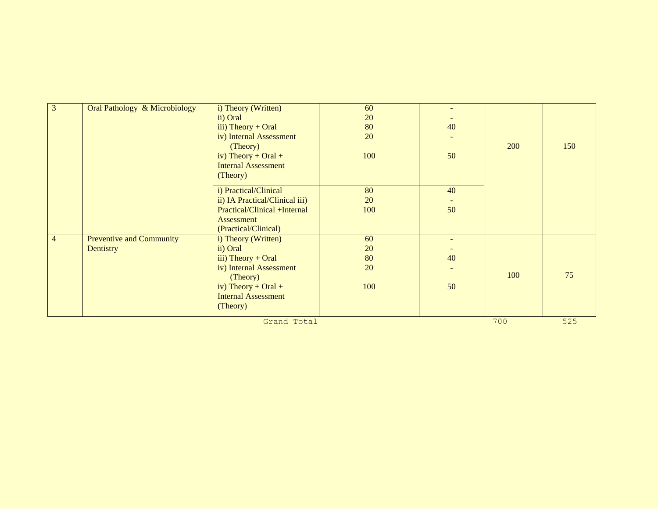| 3              | Oral Pathology & Microbiology   | i) Theory (Written)            | 60  |     |     |     |
|----------------|---------------------------------|--------------------------------|-----|-----|-----|-----|
|                |                                 |                                |     |     |     |     |
|                |                                 | ii) Oral                       | 20  |     |     |     |
|                |                                 | iii) Theory + Oral             | 80  | 40  |     |     |
|                |                                 | iv) Internal Assessment        | 20  |     |     |     |
|                |                                 | (Theory)                       |     |     | 200 | 150 |
|                |                                 | iv) Theory + Oral +            | 100 | 50  |     |     |
|                |                                 | <b>Internal Assessment</b>     |     |     |     |     |
|                |                                 | (Theory)                       |     |     |     |     |
|                |                                 | i) Practical/Clinical          | 80  | 40  |     |     |
|                |                                 | ii) IA Practical/Clinical iii) | 20  |     |     |     |
|                |                                 | Practical/Clinical +Internal   | 100 | 50  |     |     |
|                |                                 | Assessment                     |     |     |     |     |
|                |                                 | (Practical/Clinical)           |     |     |     |     |
| $\overline{4}$ | <b>Preventive and Community</b> | i) Theory (Written)            | 60  |     |     |     |
|                | Dentistry                       | ii) Oral                       | 20  |     |     |     |
|                |                                 | iii) Theory + Oral             | 80  | 40  |     |     |
|                |                                 | iv) Internal Assessment        | 20  |     |     |     |
|                |                                 | (Theory)                       |     |     | 100 | 75  |
|                |                                 | iv) Theory + Oral +            | 100 | 50  |     |     |
|                |                                 | <b>Internal Assessment</b>     |     |     |     |     |
|                |                                 | (Theory)                       |     |     |     |     |
|                |                                 |                                | 700 | 525 |     |     |